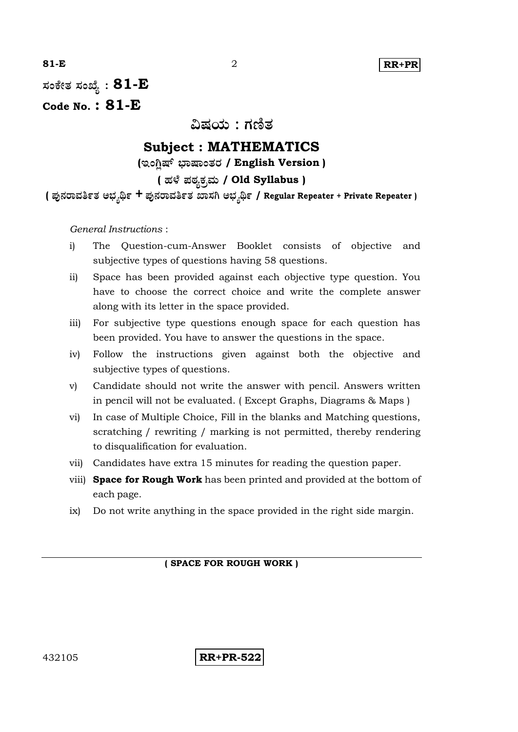

**: 81-E**

**Code No. : 81-E**

ವಿಷಯ : ಗಣಿತ

# **Subject : MATHEMATICS**

**( / English Version )**

# **( / Old Syllabus )**

**( + / Regular Repeater + Private Repeater )**

*General Instructions* :

- i) The Question-cum-Answer Booklet consists of objective and subjective types of questions having 58 questions.
- ii) Space has been provided against each objective type question. You have to choose the correct choice and write the complete answer along with its letter in the space provided.
- iii) For subjective type questions enough space for each question has been provided. You have to answer the questions in the space.
- iv) Follow the instructions given against both the objective and subjective types of questions.
- v) Candidate should not write the answer with pencil. Answers written in pencil will not be evaluated. ( Except Graphs, Diagrams & Maps )
- vi) In case of Multiple Choice, Fill in the blanks and Matching questions, scratching / rewriting / marking is not permitted, thereby rendering to disqualification for evaluation.
- vii) Candidates have extra 15 minutes for reading the question paper.
- viii) **Space for Rough Work** has been printed and provided at the bottom of each page.
- ix) Do not write anything in the space provided in the right side margin.

#### **( SPACE FOR ROUGH WORK )**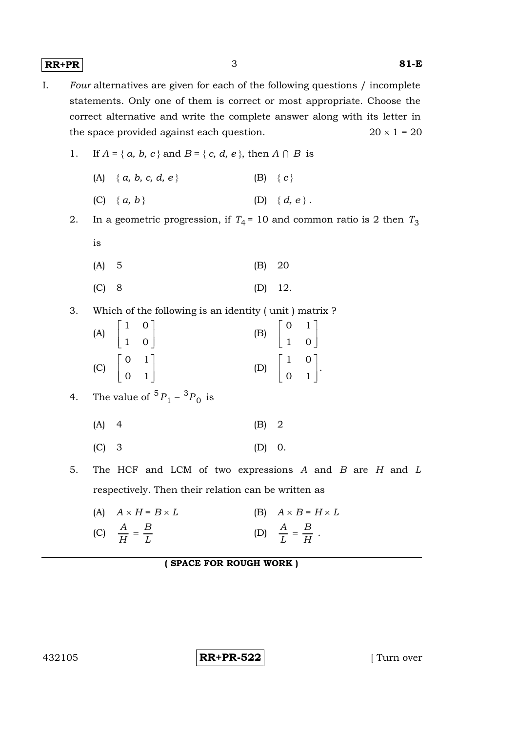**RR+PR** 3 **81-E**

- I. *Four* alternatives are given for each of the following questions / incomplete statements. Only one of them is correct or most appropriate. Choose the correct alternative and write the complete answer along with its letter in the space provided against each question. 20  $\times$  1 = 20
	- 1. If  $A = \{a, b, c\}$  and  $B = \{c, d, e\}$ , then  $A \cap B$  is

| (A) { $a, b, c, d, e$ } |  | $(B) \{c\}$ |
|-------------------------|--|-------------|
|-------------------------|--|-------------|

- (C) { *a, b* } (D) { *d, e* }.
- 2. In a geometric progression, if  $T_4$ = 10 and common ratio is 2 then  $T_3$ is

| $(A)$ 5 |  |  |  | $(B)$ 20 |
|---------|--|--|--|----------|
|---------|--|--|--|----------|

- (C) 8 (D) 12.
- 3. Which of the following is an identity ( unit ) matrix ?

| (A) $\begin{bmatrix} 1 & 0 \\ 1 & 0 \end{bmatrix}$ |  |                                                    |                                                      |  |
|----------------------------------------------------|--|----------------------------------------------------|------------------------------------------------------|--|
|                                                    |  | (B) $\begin{bmatrix} 0 & 1 \\ 1 & 0 \end{bmatrix}$ |                                                      |  |
| (C) $\begin{bmatrix} 0 & 1 \\ 0 & 1 \end{bmatrix}$ |  |                                                    |                                                      |  |
|                                                    |  |                                                    | (D) $\begin{bmatrix} 1 & 0 \\ 0 & 1 \end{bmatrix}$ . |  |
|                                                    |  |                                                    |                                                      |  |

4. The value of 
$$
{}^{5}P_{1} - {}^{3}P_{0}
$$
 is

 $(A)$  4 (B) 2

- (C) 3 (D) 0.
- 5. The HCF and LCM of two expressions *A* and *B* are *H* and *L* respectively. Then their relation can be written as
	- (A)  $A \times H = B \times L$  (B)  $A \times B = H \times L$ (C)  $\frac{11}{H} = \frac{12}{L}$ *B H*  $\frac{A}{\sqrt{11}}$  = (D)  $\frac{H}{L} = \frac{B}{H}$ *B L*  $\frac{A}{I} = \frac{B}{II}$ .

#### **( SPACE FOR ROUGH WORK )**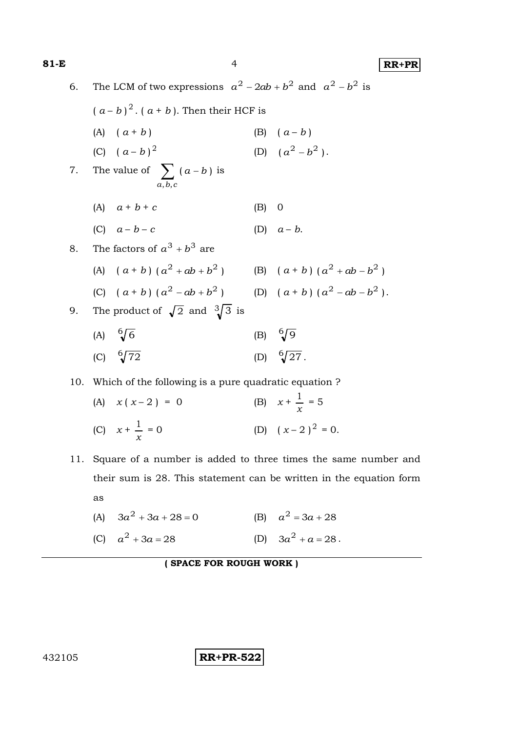**81-E** 4 **RR+PR** 6. The LCM of two expressions  $a^2 - 2ab + b^2$  and  $a^2 - b^2$  is  $(a - b)^2$ .  $(a + b)$ . Then their HCF is (A)  $(a + b)$  (B)  $(a - b)$ (C)  $(a - b)^2$ (D)  $(a^2-b^2)$ . 7. The value of  $\sum (a-b)$ , , *a b*  $a, b, c$  $\sum$  (a-b) is (A)  $a + b + c$  (B) 0 (C)  $a - b - c$  (D)  $a - b$ . 8. The factors of  $a^3 + b^3$  are (A)  $(a + b) (a^2 + ab + b^2)$  (B)  $(a + b) (a^2 + ab - b^2)$ (C)  $(a + b) (a^2 - ab + b^2)$  (D)  $(a + b) (a^2 - ab - b^2)$ . 9. The product of  $\sqrt{2}$  and  $\sqrt[3]{3}$  is (A)  $\sqrt[6]{6}$ (B)  $\sqrt[6]{9}$ (C)  $\sqrt[6]{72}$ (D)  $\sqrt[6]{27}$ . 10. Which of the following is a pure quadratic equation ? (A)  $x(x-2) = 0$ *x*  $\frac{1}{-}$  = 5 (C)  $x + \frac{1}{x}$ 1  $= 0$  (D)  $(x-2)^2 = 0.$ 11. Square of a number is added to three times the same number and their sum is 28. This statement can be written in the equation form as

(A) 
$$
3a^2 + 3a + 28 = 0
$$
  
\n(B)  $a^2 = 3a + 28$   
\n(C)  $a^2 + 3a = 28$   
\n(D)  $3a^2 + a = 28$ .

**( SPACE FOR ROUGH WORK )**

432105 **RR+PR-522**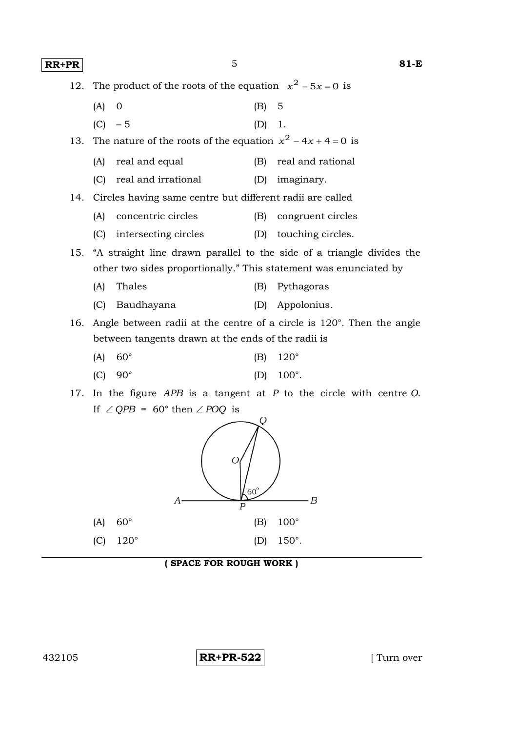**RR+PR** 5 **81-E**

| 12. |                                                    | The product of the roots of the equation $x^2 - 5x = 0$ is                    |  |  |
|-----|----------------------------------------------------|-------------------------------------------------------------------------------|--|--|
|     | (A)<br>0                                           | 5<br>(B)                                                                      |  |  |
|     | (C)<br>$-5$                                        | (D)<br>1.                                                                     |  |  |
| 13. |                                                    | The nature of the roots of the equation $x^2 - 4x + 4 = 0$ is                 |  |  |
|     | real and equal<br>(A)                              | real and rational<br>(B)                                                      |  |  |
|     | real and irrational<br>(C)                         | (D)<br>imaginary.                                                             |  |  |
| 14. |                                                    | Circles having same centre but different radii are called                     |  |  |
|     | concentric circles<br>(A)                          | (B)<br>congruent circles                                                      |  |  |
|     | intersecting circles<br>(C)                        | (D)<br>touching circles.                                                      |  |  |
| 15. |                                                    | "A straight line drawn parallel to the side of a triangle divides the         |  |  |
|     |                                                    | other two sides proportionally." This statement was enunciated by             |  |  |
|     | Thales<br>(A)                                      | Pythagoras<br>(B)                                                             |  |  |
|     | (C)<br>Baudhayana                                  | (D) Appolonius.                                                               |  |  |
| 16. |                                                    | Angle between radii at the centre of a circle is $120^\circ$ . Then the angle |  |  |
|     | between tangents drawn at the ends of the radii is |                                                                               |  |  |
|     | $60^{\circ}$<br>(A)                                | $120^\circ$<br>(B)                                                            |  |  |
|     | $90^{\circ}$<br>(C)                                | 100°.<br>(D)                                                                  |  |  |
| 17. |                                                    | In the figure $APB$ is a tangent at $P$ to the circle with centre $O$ .       |  |  |
|     | If $\angle$ QPB = 60° then $\angle$ POQ is         |                                                                               |  |  |
|     | А                                                  | $60^{\circ}$<br>В<br>Р                                                        |  |  |

(C) 120° (D) 150°.

(A) 60° (B) 100°

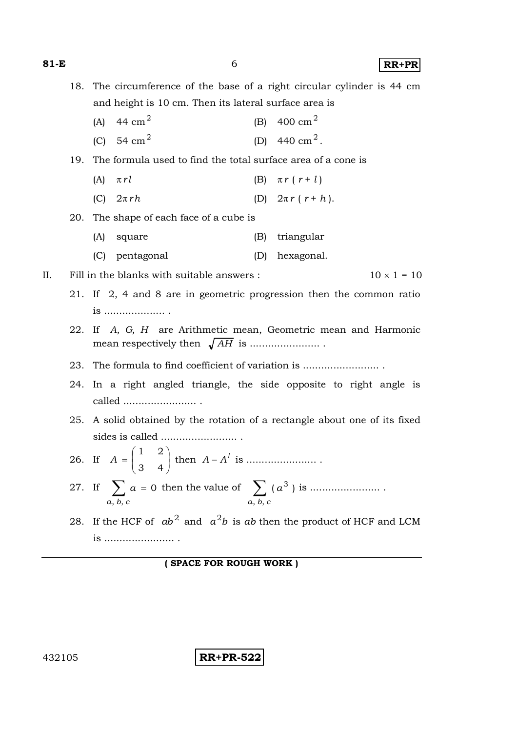**81-E** 6 **RR+PR**

18. The circumference of the base of a right circular cylinder is 44 cm and height is 10 cm. Then its lateral surface area is (A) 44 cm<sup>2</sup> (B) 400 cm<sup>2</sup> (C) 54 cm<sup>2</sup> (D)  $440 \text{ cm}^2$ . 19. The formula used to find the total surface area of a cone is (A)  $\pi r l$  (B)  $\pi r (r + l)$ (C)  $2\pi rh$  (D)  $2\pi r (r+h)$ . 20. The shape of each face of a cube is (A) square (B) triangular (C) pentagonal (D) hexagonal. II. Fill in the blanks with suitable answers :  $10 \times 1 = 10$ 21. If 2, 4 and 8 are in geometric progression then the common ratio is .................... . 22. If *A, G, H* are Arithmetic mean, Geometric mean and Harmonic mean respectively then *AH* is ....................... . 23. The formula to find coefficient of variation is ............................ 24. In a right angled triangle, the side opposite to right angle is called ........................ . 25. A solid obtained by the rotation of a rectangle about one of its fixed sides is called ......................... . 26. If  $A = \begin{bmatrix} 1 & 2 \\ 3 & 4 \end{bmatrix}$  $\bigg)$  $\setminus$  $\overline{\phantom{a}}$  $\overline{\mathcal{L}}$ ſ  $=$ 3 4 1 2 *A* then *A* – *A l* is ....................... . 27. If  $\sum a = 0$ , *b*,  $\sum a =$ *a b c* then the value of  $\sum_{n=1}^{\infty}$  ( $a^3$ ) , *b*, *a a b c* is ....................... . 28. If the HCF of  $ab^2$  and  $a^2b$  is ab then the product of HCF and LCM is ....................... .

**( SPACE FOR ROUGH WORK )**

432105 **RR+PR-522**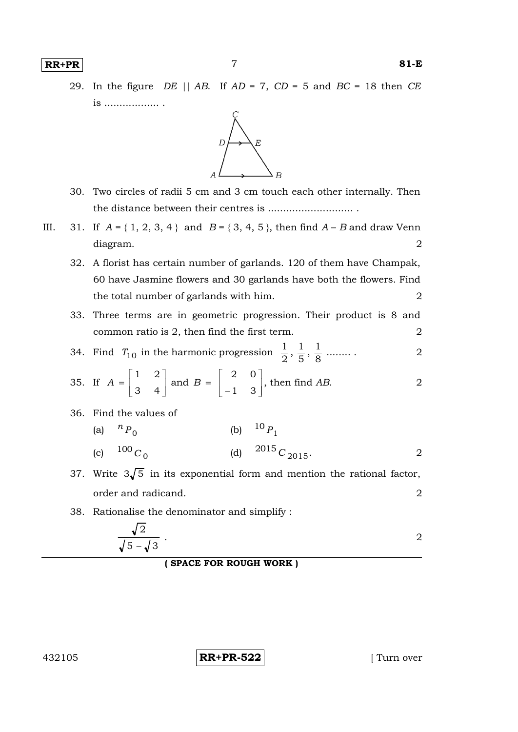

- 30. Two circles of radii 5 cm and 3 cm touch each other internally. Then the distance between their centres is ............................ .
- III. 31. If  $A = \{ 1, 2, 3, 4 \}$  and  $B = \{ 3, 4, 5 \}$ , then find  $A B$  and draw Venn diagram. 2
	- 32. A florist has certain number of garlands. 120 of them have Champak, 60 have Jasmine flowers and 30 garlands have both the flowers. Find the total number of garlands with him. 2
	- 33. Three terms are in geometric progression. Their product is 8 and common ratio is 2, then find the first term. 2

34. Find  $T_{10}$  in the harmonic progression  $\frac{1}{2}$ ,  $\frac{1}{5}$ ,  $\frac{1}{8}$  $\frac{1}{5}$ ,  $\frac{1}{8}$  $\frac{1}{2}$ ,  $\frac{1}{5}$ 1 ........ . 2

35. If 
$$
A = \begin{bmatrix} 1 & 2 \\ 3 & 4 \end{bmatrix}
$$
 and  $B = \begin{bmatrix} 2 & 0 \\ -1 & 3 \end{bmatrix}$ , then find AB.

36. Find the values of

(a) 
$$
{}^{n}P_{0}
$$
 (b)  ${}^{10}P_{1}$   
(c)  ${}^{100}C_{0}$  (d)  ${}^{2015}C_{2015}$ .

- 37. Write  $3\sqrt{5}$  in its exponential form and mention the rational factor, order and radicand. 2
- 38. Rationalise the denominator and simplify :

$$
\frac{\sqrt{2}}{\sqrt{5}-\sqrt{3}}
$$

**( SPACE FOR ROUGH WORK )**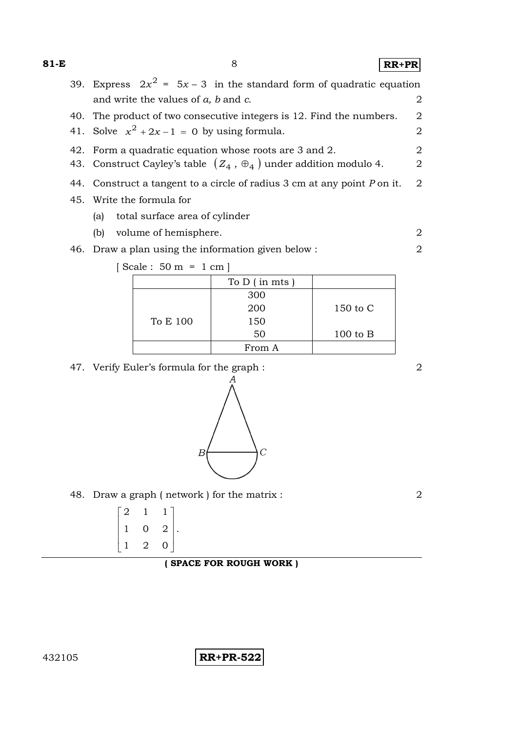**81-E** 8 **RR+PR**

39. Express  $2x^2 = 5x - 3$  in the standard form of quadratic equation and write the values of *a*, *b* and *c*. 2 40. The product of two consecutive integers is 12. Find the numbers. 2 41. Solve  $x^2 + 2x - 1 = 0$  by using formula. 2 42. Form a quadratic equation whose roots are 3 and 2. 2 43. Construct Cayley's table  $(Z_4, \oplus_4)$  under addition modulo 4.  $2$ 44. Construct a tangent to a circle of radius 3 cm at any point *P* on it. 2 45. Write the formula for (a) total surface area of cylinder (b) volume of hemisphere. 2 46. Draw a plan using the information given below : 2 [ Scale : 50 m = 1 cm ]

|          | To $D$ (in mts) |              |
|----------|-----------------|--------------|
|          | 300             |              |
|          | 200             | 150 to C     |
| To E 100 | 150             |              |
|          | 50              | $100$ to $B$ |
|          | From A          |              |

47. Verify Euler's formula for the graph : 2



48. Draw a graph (network) for the matrix : 2

| $\overline{2}$ | 1 | 1              |  |
|----------------|---|----------------|--|
| 1              | 0 | $\overline{2}$ |  |
| $\mathbf{1}$   | 2 | 0              |  |

**( SPACE FOR ROUGH WORK )**